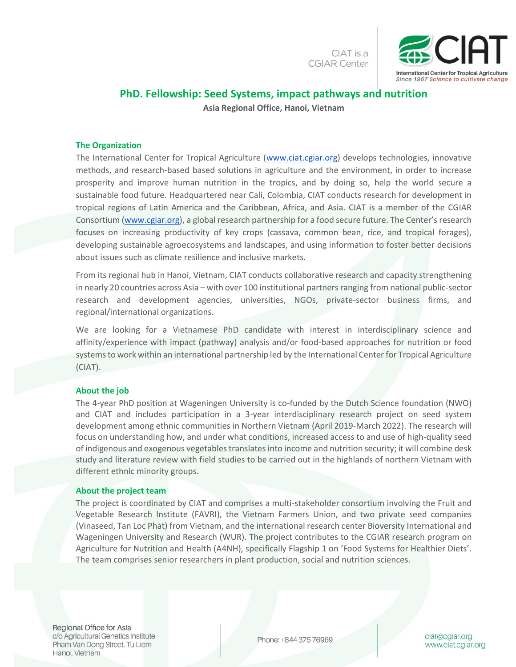$CIAT$  is a CGIAR Center



# **PhD. Fellowship: Seed Systems, impact pathways and nutrition**

**Asia Regional Office, Hanoi, Vietnam**

## **The Organization**

The International Center for Tropical Agriculture [\(www.ciat.cgiar.org\)](http://www.ciat.cgiar.org/) develops technologies, innovative methods, and research-based based solutions in agriculture and the environment, in order to increase prosperity and improve human nutrition in the tropics, and by doing so, help the world secure a sustainable food future. Headquartered near Cali, Colombia, CIAT conducts research for development in tropical regions of Latin America and the Caribbean, Africa, and Asia. CIAT is a member of the CGIAR Consortium [\(www.cgiar.org](http://www.cgiar.org/)), a global research partnership for a food secure future. The Center's research focuses on increasing productivity of key crops (cassava, common bean, rice, and tropical forages), developing sustainable agroecosystems and landscapes, and using information to foster better decisions about issues such as climate resilience and inclusive markets.

From its regional hub in Hanoi, Vietnam, CIAT conducts collaborative research and capacity strengthening in nearly 20 countries across Asia – with over 100 institutional partners ranging from national public-sector research and development agencies, universities, NGOs, private-sector business firms, and regional/international organizations.

We are looking for a Vietnamese PhD candidate with interest in interdisciplinary science and affinity/experience with impact (pathway) analysis and/or food-based approaches for nutrition or food systems to work within an international partnership led by the International Center for Tropical Agriculture (CIAT).

## **About the job**

The 4-year PhD position at Wageningen University is co-funded by the Dutch Science foundation (NWO) and CIAT and includes participation in a 3-year interdisciplinary research project on seed system development among ethnic communities in Northern Vietnam (April 2019-March 2022). The research will focus on understanding how, and under what conditions, increased access to and use of high-quality seed of indigenous and exogenous vegetables translates into income and nutrition security; it will combine desk study and literature review with field studies to be carried out in the highlands of northern Vietnam with different ethnic minority groups.

#### **About the project team**

The project is coordinated by CIAT and comprises a multi-stakeholder consortium involving the Fruit and Vegetable Research Institute (FAVRI), the Vietnam Farmers Union, and two private seed companies (Vinaseed, Tan Loc Phat) from Vietnam, and the international research center Bioversity International and Wageningen University and Research (WUR). The project contributes to the CGIAR research program on Agriculture for Nutrition and Health (A4NH), specifically Flagship 1 on 'Food Systems for Healthier Diets'. The team comprises senior researchers in plant production, social and nutrition sciences.

Regional Office for Asia c/o Agricultural Genetics Institute Pham Van Dong Street. Tu Liem Hanoi, Vietnam

Phone: +844 375 76969

ciat@cgiar.org www.ciat.cgiar.org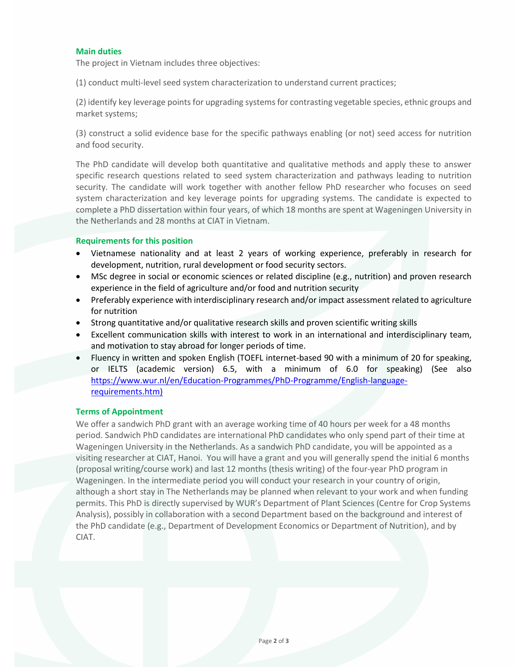## **Main duties**

The project in Vietnam includes three objectives:

(1) conduct multi-level seed system characterization to understand current practices;

(2) identify key leverage points for upgrading systems for contrasting vegetable species, ethnic groups and market systems;

(3) construct a solid evidence base for the specific pathways enabling (or not) seed access for nutrition and food security.

The PhD candidate will develop both quantitative and qualitative methods and apply these to answer specific research questions related to seed system characterization and pathways leading to nutrition security. The candidate will work together with another fellow PhD researcher who focuses on seed system characterization and key leverage points for upgrading systems. The candidate is expected to complete a PhD dissertation within four years, of which 18 months are spent at Wageningen University in the Netherlands and 28 months at CIAT in Vietnam.

## **Requirements for this position**

- Vietnamese nationality and at least 2 years of working experience, preferably in research for development, nutrition, rural development or food security sectors.
- MSc degree in social or economic sciences or related discipline (e.g., nutrition) and proven research experience in the field of agriculture and/or food and nutrition security
- Preferably experience with interdisciplinary research and/or impact assessment related to agriculture for nutrition
- Strong quantitative and/or qualitative research skills and proven scientific writing skills
- Excellent communication skills with interest to work in an international and interdisciplinary team, and motivation to stay abroad for longer periods of time.
- Fluency in written and spoken English (TOEFL internet-based 90 with a minimum of 20 for speaking, or IELTS (academic version) 6.5, with a minimum of 6.0 for speaking) (See also [https://www.wur.nl/en/Education-Programmes/PhD-Programme/English-language](https://www.wur.nl/en/Education-Programmes/PhD-Programme/English-language-requirements.htm)[requirements.htm\)](https://www.wur.nl/en/Education-Programmes/PhD-Programme/English-language-requirements.htm)

## **Terms of Appointment**

We offer a sandwich PhD grant with an average working time of 40 hours per week for a 48 months period. Sandwich PhD candidates are international PhD candidates who only spend part of their time at Wageningen University in the Netherlands. As a sandwich PhD candidate, you will be appointed as a visiting researcher at CIAT, Hanoi. You will have a grant and you will generally spend the initial 6 months (proposal writing/course work) and last 12 months (thesis writing) of the four-year PhD program in Wageningen. In the intermediate period you will conduct your research in your country of origin, although a short stay in The Netherlands may be planned when relevant to your work and when funding permits. This PhD is directly supervised by WUR's Department of Plant Sciences (Centre for Crop Systems Analysis), possibly in collaboration with a second Department based on the background and interest of the PhD candidate (e.g., Department of Development Economics or Department of Nutrition), and by CIAT.